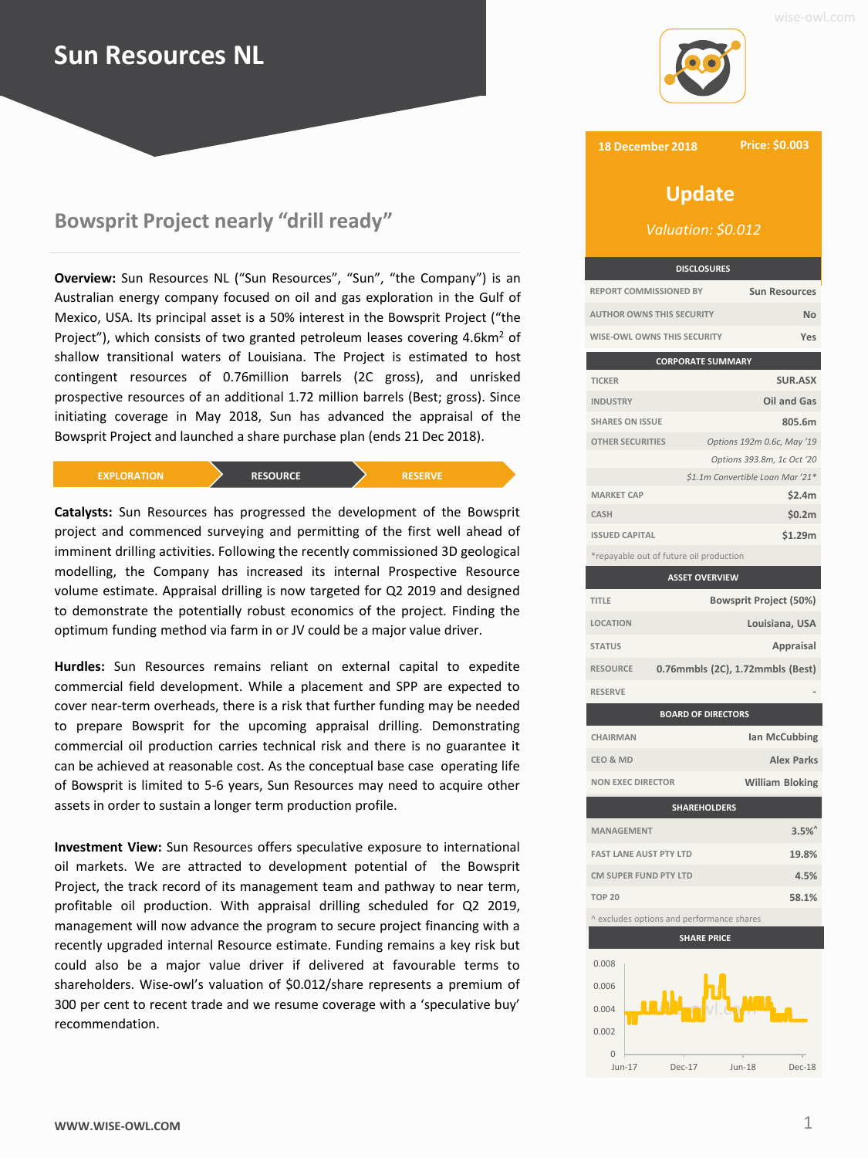# **Sun Resources NL**



# **Bowsprit Project nearly "drill ready"**

**Overview:** Sun Resources NL ("Sun Resources", "Sun", "the Company") is an Australian energy company focused on oil and gas exploration in the Gulf of Mexico, USA. Its principal asset is a 50% interest in the Bowsprit Project ("the Project"), which consists of two granted petroleum leases covering 4.6km<sup>2</sup> of shallow transitional waters of Louisiana. The Project is estimated to host contingent resources of 0.76million barrels (2C gross), and unrisked prospective resources of an additional 1.72 million barrels (Best; gross). Since initiating coverage in May 2018, Sun has advanced the appraisal of the Bowsprit Project and launched a share purchase plan (ends 21 Dec 2018).

| <b>EXPLORATION</b> | <b>RESOURCE</b> | <b>RESERVE</b> |
|--------------------|-----------------|----------------|
|                    |                 |                |

**Catalysts:** Sun Resources has progressed the development of the Bowsprit project and commenced surveying and permitting of the first well ahead of imminent drilling activities. Following the recently commissioned 3D geological modelling, the Company has increased its internal Prospective Resource volume estimate. Appraisal drilling is now targeted for Q2 2019 and designed to demonstrate the potentially robust economics of the project. Finding the optimum funding method via farm in or JV could be a major value driver.

**Hurdles:** Sun Resources remains reliant on external capital to expedite commercial field development. While a placement and SPP are expected to cover near-term overheads, there is a risk that further funding may be needed to prepare Bowsprit for the upcoming appraisal drilling. Demonstrating commercial oil production carries technical risk and there is no guarantee it can be achieved at reasonable cost. As the conceptual base case operating life of Bowsprit is limited to 5-6 years, Sun Resources may need to acquire other assets in order to sustain a longer term production profile.

**Investment View:** Sun Resources offers speculative exposure to international oil markets. We are attracted to development potential of the Bowsprit Project, the track record of its management team and pathway to near term, profitable oil production. With appraisal drilling scheduled for Q2 2019, management will now advance the program to secure project financing with a recently upgraded internal Resource estimate. Funding remains a key risk but could also be a major value driver if delivered at favourable terms to shareholders. Wise-owl's valuation of \$0.012/share represents a premium of 300 per cent to recent trade and we resume coverage with a 'speculative buy' recommendation.

## **18 December 2018**

**Price: \$0.003**

# **Update**

*Valuation: \$0.012*

| <b>DISCLOSURES</b>               |                      |
|----------------------------------|----------------------|
| <b>REPORT COMMISSIONED BY</b>    | <b>Sun Resources</b> |
| <b>AUTHOR OWNS THIS SECURITY</b> | Nη                   |
| WISE-OWL OWNS THIS SECURITY      |                      |

| <b>CORPORATE SUMMARY</b>                |                                  |  |
|-----------------------------------------|----------------------------------|--|
| <b>TICKER</b>                           | <b>SUR.ASX</b>                   |  |
| <b>INDUSTRY</b>                         | Oil and Gas                      |  |
| <b>SHARES ON ISSUE</b>                  | 805.6m                           |  |
| <b>OTHER SECURITIES</b>                 | Options 192m 0.6c, May '19       |  |
|                                         | Options 393.8m, 1c Oct '20       |  |
|                                         | \$1.1m Convertible Loan Mar '21* |  |
| <b>MARKET CAP</b>                       | \$2.4m                           |  |
| <b>CASH</b>                             | \$0.2m                           |  |
| <b>ISSUED CAPITAL</b>                   | \$1.29m                          |  |
| *repayable out of future oil production |                                  |  |

| <b>ASSET OVERVIEW</b>     |                                  |                               |
|---------------------------|----------------------------------|-------------------------------|
| TITLE                     |                                  | <b>Bowsprit Project (50%)</b> |
| <b>LOCATION</b>           |                                  | Louisiana, USA                |
| <b>STATUS</b>             |                                  | Appraisal                     |
| <b>RESOURCE</b>           | 0.76mmbls (2C), 1.72mmbls (Best) |                               |
| <b>RESERVE</b>            |                                  |                               |
| <b>BOARD OF DIRECTORS</b> |                                  |                               |
| CHAIRMAN                  |                                  | Ian McCubbing                 |
| CEO & MD                  |                                  | <b>Alex Parks</b>             |
| <b>NON EXEC DIRECTOR</b>  |                                  | <b>William Bloking</b>        |
| <b>SHAREHOLDERS</b>       |                                  |                               |
|                           |                                  |                               |

| <b>MANAGEMENT</b>             | 3.5%  |
|-------------------------------|-------|
| <b>FAST LANE AUST PTY LTD</b> | 19.8% |
| CM SUPER FUND PTY LTD         | 4.5%  |
| <b>TOP 20</b>                 | 58.1% |
|                               |       |

^ excludes options and performance shares